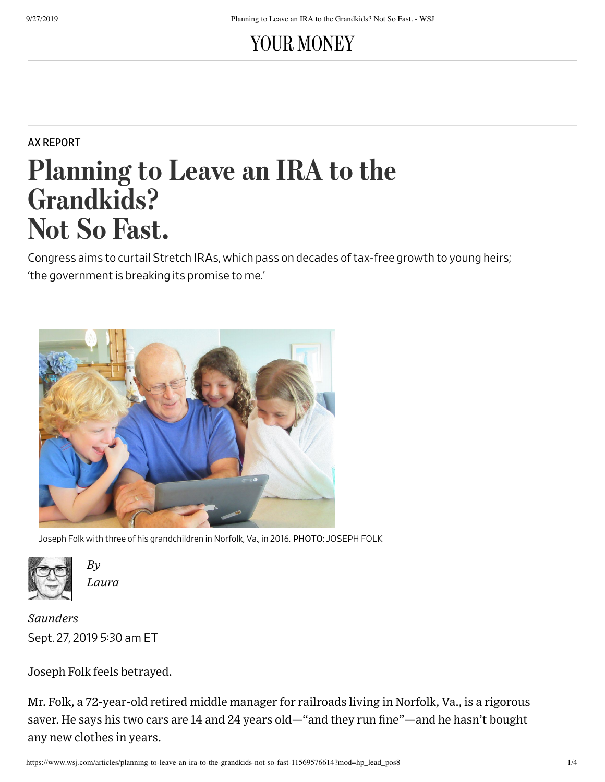# YOUR MONEY

## AX REPORT

# Planning to Leave an IRA to the Grandkids? Not So Fast.

Congress aims to curtail Stretch IRAs, which pass on decades of tax-free growth to young heirs; 'the government is breaking its promise to me.'



Joseph Folk with three of his grandchildren in Norfolk, Va., in 2016. PHOTO: JOSEPH FOLK



*By Laura*

Sept. 27, 2019 530 am ET *Saunders*

Joseph Folk feels betrayed.

Mr. Folk, a 72-year-old retired middle manager for railroads living in Norfolk, Va., is a rigorous saver. He says his two cars are 14 and 24 years old—"and they run fine"—and he hasn't bought any new clothes in years.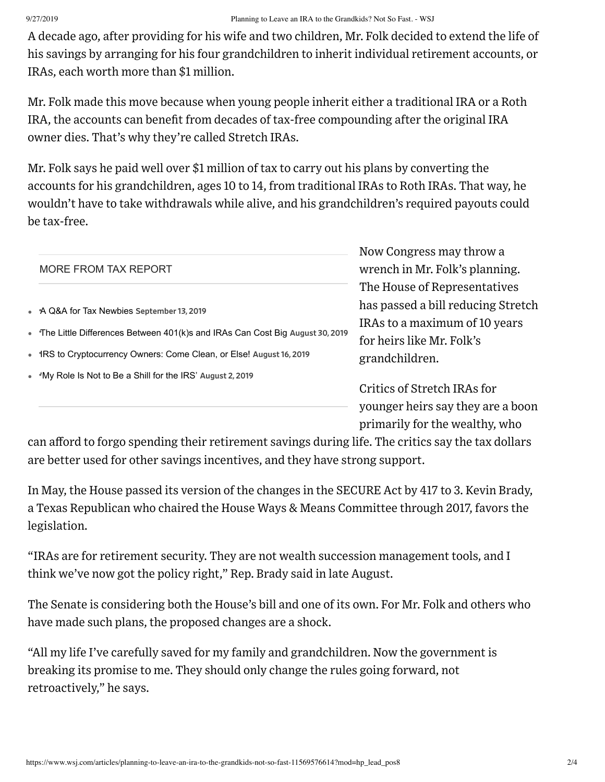### 9/27/2019 Planning to Leave an IRA to the Grandkids? Not So Fast. - WSJ

A decade ago, after providing for his wife and two children, Mr. Folk decided to extend the life of his savings by arranging for his four grandchildren to inherit individual retirement accounts, or IRAs, each worth more than \$1 million.

Mr. Folk made this move because when young people inherit either a traditional IRA or a Roth IRA, the accounts can benefit from decades of tax-free compounding after the original IRA owner dies. That's why they're called Stretch IRAs.

Mr. Folk says he paid well over \$1 million of tax to carry out his plans by converting the accounts for his grandchildren, ages 10 to 14, from traditional IRAs to Roth IRAs. That way, he wouldn't have to take withdrawals while alive, and his grandchildren's required payouts could be tax-free.

|  |                                                                                | Now Congress may throw a           |
|--|--------------------------------------------------------------------------------|------------------------------------|
|  | MORE FROM TAX REPORT                                                           | wrench in Mr. Folk's planning.     |
|  |                                                                                | The House of Representatives       |
|  | • A Q&A for Tax Newbies September 13, 2019                                     | has passed a bill reducing Stretch |
|  |                                                                                | IRAs to a maximum of 10 years      |
|  | • The Little Differences Between 401(k)s and IRAs Can Cost Big August 30, 2019 | for heirs like Mr. Folk's          |
|  | • IRS to Cryptocurrency Owners: Come Clean, or Else! August 16, 2019           | grandchildren.                     |
|  | • <i>Ny</i> Role Is Not to Be a Shill for the IRS' August 2, 2019              |                                    |
|  |                                                                                | Critics of Stretch IRAs for        |
|  |                                                                                | younger heirs say they are a boon  |

primarily for the wealthy, who

can afford to forgo spending their retirement savings during life. The critics say the tax dollars are better used for other savings incentives, and they have strong support.

In May, the House passed its version of the changes in the SECURE Act by 417 to 3. Kevin Brady, a Texas Republican who chaired the House Ways & Means Committee through 2017, favors the legislation.

"IRAs are for retirement security. They are not wealth succession management tools, and I think we've now got the policy right," Rep. Brady said in late August.

The Senate is considering both the House's bill and one of its own. For Mr. Folk and others who have made such plans, the proposed changes are a shock.

"All my life I've carefully saved for my family and grandchildren. Now the government is breaking its promise to me. They should only change the rules going forward, not retroactively," he says.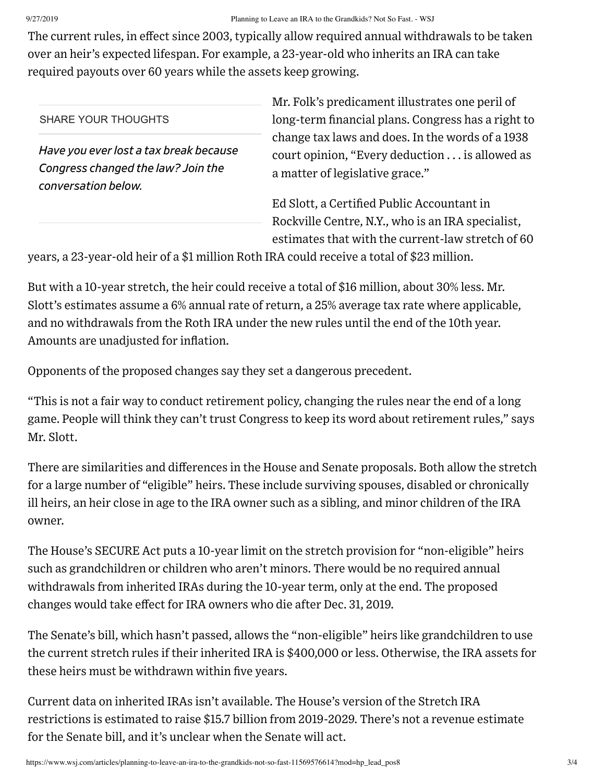The current rules, in effect since 2003, typically allow required annual withdrawals to be taken over an heir's expected lifespan. For example, a 23-year-old who inherits an IRA can take required payouts over 60 years while the assets keep growing.

### SHARE YOUR THOUGHTS

*Have you everlost a tax break because Congress changed the law? Join the conversation below.*

Mr. Folk's predicament illustrates one peril of long-term financial plans. Congress has a right to change tax laws and does. In the words of a 1938 court opinion, "Every deduction . . . is allowed as a matter of legislative grace."

Ed Slott, a Certified Public Accountant in Rockville Centre, N.Y., who is an IRA specialist, estimates that with the current-law stretch of 60

years, a 23-year-old heir of a \$1 million Roth IRA could receive a total of \$23 million.

But with a 10-year stretch, the heir could receive a total of \$16 million, about 30% less. Mr. Slott's estimates assume a 6% annual rate of return, a 25% average tax rate where applicable, and no withdrawals from the Roth IRA under the new rules until the end of the 10th year. Amounts are unadjusted for inflation.

Opponents of the proposed changes say they set a dangerous precedent.

"This is not a fair way to conduct retirement policy, changing the rules near the end of a long game. People will think they can't trust Congress to keep its word about retirement rules," says Mr. Slott.

There are similarities and differences in the House and Senate proposals. Both allow the stretch for a large number of "eligible" heirs. These include surviving spouses, disabled or chronically ill heirs, an heir close in age to the IRA owner such as a sibling, and minor children of the IRA owner.

The House's SECURE Act puts a 10-year limit on the stretch provision for "non-eligible" heirs such as grandchildren or children who aren't minors. There would be no required annual withdrawals from inherited IRAs during the 10-year term, only at the end. The proposed changes would take effect for IRA owners who die after Dec. 31, 2019.

The Senate's bill, which hasn't passed, allows the "non-eligible" heirs like grandchildren to use the current stretch rules if their inherited IRA is \$400,000 or less. Otherwise, the IRA assets for these heirs must be withdrawn within five years.

Current data on inherited IRAs isn't available. The House's version of the Stretch IRA restrictions is estimated to raise \$15.7 billion from 2019-2029. There's not a revenue estimate for the Senate bill, and it's unclear when the Senate will act.